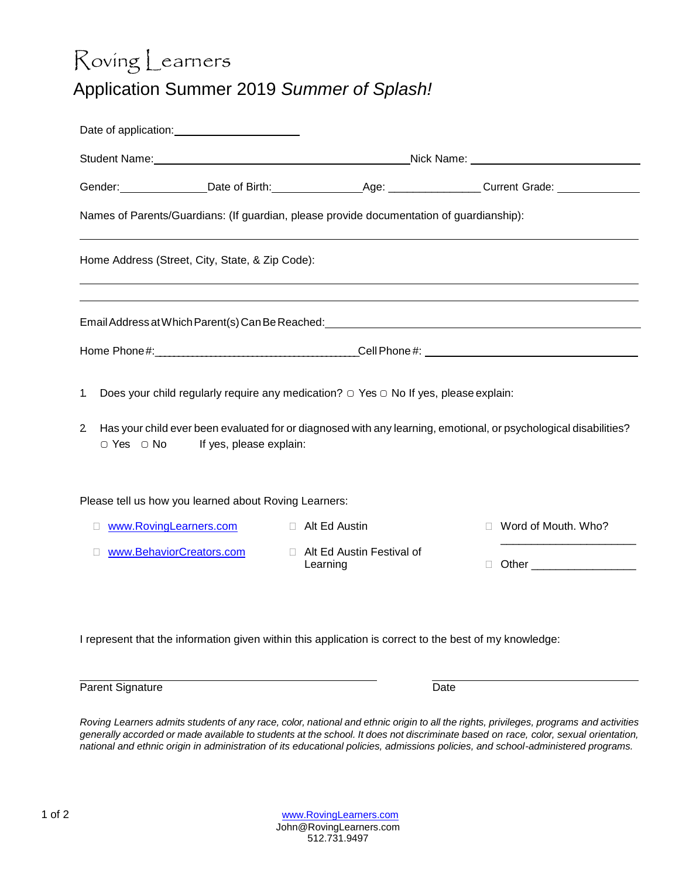## Roving Learners Application Summer 2019 *Summer of Splash!*

|                                        |                                                       |                                                                                                        | Student Name: No. 2006. The Student Name: Nick Name: Nick Name: Nick Name: Nick Name: Nick Name: Nick Name: Nick Name: Nick Name: Nick Name: Nick Name: Nick Name: Nick Name: Nick Name: Nick Name: Nick Name: Nick Name: Nick |  |  |  |  |  |
|----------------------------------------|-------------------------------------------------------|--------------------------------------------------------------------------------------------------------|--------------------------------------------------------------------------------------------------------------------------------------------------------------------------------------------------------------------------------|--|--|--|--|--|
|                                        |                                                       |                                                                                                        |                                                                                                                                                                                                                                |  |  |  |  |  |
|                                        |                                                       | Names of Parents/Guardians: (If guardian, please provide documentation of guardianship):               |                                                                                                                                                                                                                                |  |  |  |  |  |
|                                        | Home Address (Street, City, State, & Zip Code):       |                                                                                                        | ,我们也不会有什么。""我们的人,我们也不会有什么?""我们的人,我们也不会有什么?""我们的人,我们也不会有什么?""我们的人,我们也不会有什么?""我们的人                                                                                                                                               |  |  |  |  |  |
|                                        |                                                       |                                                                                                        | Email Address at Which Parent(s) Can Be Reached: ________________________________                                                                                                                                              |  |  |  |  |  |
|                                        |                                                       |                                                                                                        |                                                                                                                                                                                                                                |  |  |  |  |  |
| 1.                                     |                                                       | Does your child regularly require any medication? $\bigcirc$ Yes $\bigcirc$ No If yes, please explain: |                                                                                                                                                                                                                                |  |  |  |  |  |
| $\mathbf{2}$<br>$\circ$ Yes $\circ$ No | If yes, please explain:                               |                                                                                                        | Has your child ever been evaluated for or diagnosed with any learning, emotional, or psychological disabilities?                                                                                                               |  |  |  |  |  |
|                                        | Please tell us how you learned about Roving Learners: |                                                                                                        |                                                                                                                                                                                                                                |  |  |  |  |  |
| П                                      | www.RovingLearners.com                                | Alt Ed Austin                                                                                          | Word of Mouth. Who?<br>п                                                                                                                                                                                                       |  |  |  |  |  |
|                                        | www.BehaviorCreators.com                              | □ Alt Ed Austin Festival of<br>Learning                                                                |                                                                                                                                                                                                                                |  |  |  |  |  |
|                                        |                                                       |                                                                                                        |                                                                                                                                                                                                                                |  |  |  |  |  |

I represent that the information given within this application is correct to the best of my knowledge:

Parent Signature Date

Roving Learners admits students of any race, color, national and ethnic origin to all the rights, privileges, programs and activities generally accorded or made available to students at the school. It does not discriminate based on race, color, sexual orientation, *national and ethnic origin in administration of its educational policies, admissions policies, and school-administered programs.*